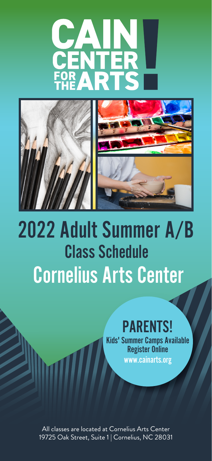# **CAIN<br>CENTER<br>FOR ARTS**



# 2022 Adult Summer A/B **Class Schedule** Cornelius Arts Center

## PARENTS!

Kids' Summer Camps Available Register Online www.cainarts.org

All classes are located at Cornelius Arts Center 19725 Oak Street, Suite 1 | Cornelius, NC 28031